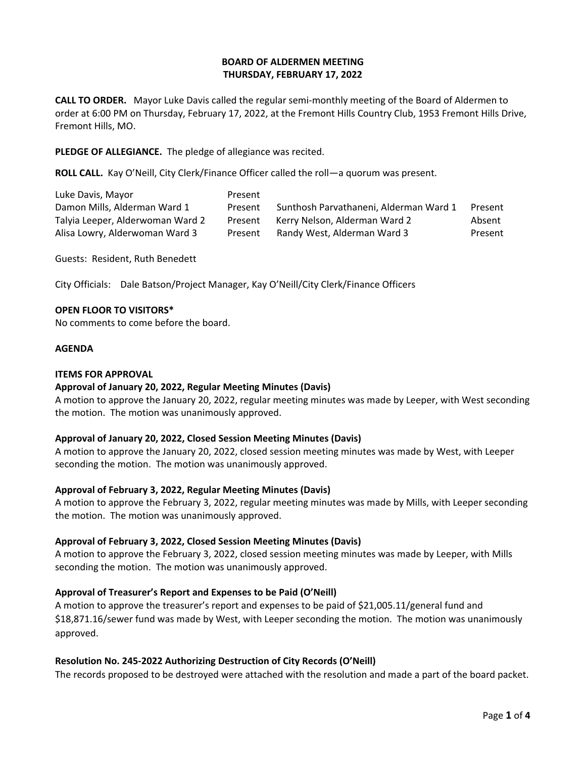## **BOARD OF ALDERMEN MEETING THURSDAY, FEBRUARY 17, 2022**

**CALL TO ORDER.** Mayor Luke Davis called the regular semi-monthly meeting of the Board of Aldermen to order at 6:00 PM on Thursday, February 17, 2022, at the Fremont Hills Country Club, 1953 Fremont Hills Drive, Fremont Hills, MO.

**PLEDGE OF ALLEGIANCE.** The pledge of allegiance was recited.

**ROLL CALL.** Kay O'Neill, City Clerk/Finance Officer called the roll—a quorum was present.

| Luke Davis, Mayor                | Present |                                        |         |
|----------------------------------|---------|----------------------------------------|---------|
| Damon Mills, Alderman Ward 1     | Present | Sunthosh Parvathaneni, Alderman Ward 1 | Present |
| Talyia Leeper, Alderwoman Ward 2 | Present | Kerry Nelson, Alderman Ward 2          | Absent  |
| Alisa Lowry, Alderwoman Ward 3   | Present | Randy West, Alderman Ward 3            | Present |

Guests: Resident, Ruth Benedett

City Officials: Dale Batson/Project Manager, Kay O'Neill/City Clerk/Finance Officers

#### **OPEN FLOOR TO VISITORS\***

No comments to come before the board.

#### **AGENDA**

#### **ITEMS FOR APPROVAL**

## **Approval of January 20, 2022, Regular Meeting Minutes (Davis)**

A motion to approve the January 20, 2022, regular meeting minutes was made by Leeper, with West seconding the motion. The motion was unanimously approved.

#### **Approval of January 20, 2022, Closed Session Meeting Minutes (Davis)**

A motion to approve the January 20, 2022, closed session meeting minutes was made by West, with Leeper seconding the motion. The motion was unanimously approved.

## **Approval of February 3, 2022, Regular Meeting Minutes (Davis)**

A motion to approve the February 3, 2022, regular meeting minutes was made by Mills, with Leeper seconding the motion. The motion was unanimously approved.

## **Approval of February 3, 2022, Closed Session Meeting Minutes (Davis)**

A motion to approve the February 3, 2022, closed session meeting minutes was made by Leeper, with Mills seconding the motion. The motion was unanimously approved.

## **Approval of Treasurer's Report and Expenses to be Paid (O'Neill)**

A motion to approve the treasurer's report and expenses to be paid of \$21,005.11/general fund and \$18,871.16/sewer fund was made by West, with Leeper seconding the motion. The motion was unanimously approved.

## **Resolution No. 245-2022 Authorizing Destruction of City Records (O'Neill)**

The records proposed to be destroyed were attached with the resolution and made a part of the board packet.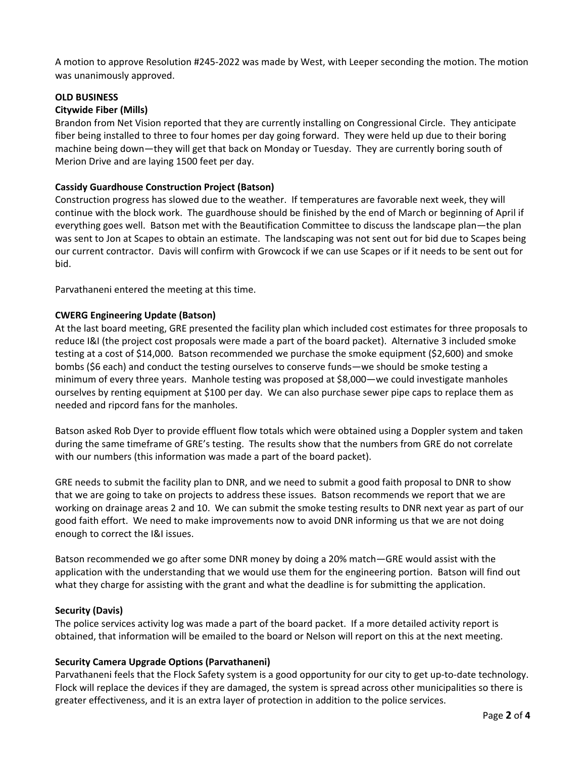A motion to approve Resolution #245-2022 was made by West, with Leeper seconding the motion. The motion was unanimously approved.

## **OLD BUSINESS**

# **Citywide Fiber (Mills)**

Brandon from Net Vision reported that they are currently installing on Congressional Circle. They anticipate fiber being installed to three to four homes per day going forward. They were held up due to their boring machine being down—they will get that back on Monday or Tuesday. They are currently boring south of Merion Drive and are laying 1500 feet per day.

## **Cassidy Guardhouse Construction Project (Batson)**

Construction progress has slowed due to the weather. If temperatures are favorable next week, they will continue with the block work. The guardhouse should be finished by the end of March or beginning of April if everything goes well. Batson met with the Beautification Committee to discuss the landscape plan—the plan was sent to Jon at Scapes to obtain an estimate. The landscaping was not sent out for bid due to Scapes being our current contractor. Davis will confirm with Growcock if we can use Scapes or if it needs to be sent out for bid.

Parvathaneni entered the meeting at this time.

# **CWERG Engineering Update (Batson)**

At the last board meeting, GRE presented the facility plan which included cost estimates for three proposals to reduce I&I (the project cost proposals were made a part of the board packet). Alternative 3 included smoke testing at a cost of \$14,000. Batson recommended we purchase the smoke equipment (\$2,600) and smoke bombs (\$6 each) and conduct the testing ourselves to conserve funds—we should be smoke testing a minimum of every three years. Manhole testing was proposed at \$8,000—we could investigate manholes ourselves by renting equipment at \$100 per day. We can also purchase sewer pipe caps to replace them as needed and ripcord fans for the manholes.

Batson asked Rob Dyer to provide effluent flow totals which were obtained using a Doppler system and taken during the same timeframe of GRE's testing. The results show that the numbers from GRE do not correlate with our numbers (this information was made a part of the board packet).

GRE needs to submit the facility plan to DNR, and we need to submit a good faith proposal to DNR to show that we are going to take on projects to address these issues. Batson recommends we report that we are working on drainage areas 2 and 10. We can submit the smoke testing results to DNR next year as part of our good faith effort. We need to make improvements now to avoid DNR informing us that we are not doing enough to correct the I&I issues.

Batson recommended we go after some DNR money by doing a 20% match—GRE would assist with the application with the understanding that we would use them for the engineering portion. Batson will find out what they charge for assisting with the grant and what the deadline is for submitting the application.

## **Security (Davis)**

The police services activity log was made a part of the board packet. If a more detailed activity report is obtained, that information will be emailed to the board or Nelson will report on this at the next meeting.

## **Security Camera Upgrade Options (Parvathaneni)**

Parvathaneni feels that the Flock Safety system is a good opportunity for our city to get up-to-date technology. Flock will replace the devices if they are damaged, the system is spread across other municipalities so there is greater effectiveness, and it is an extra layer of protection in addition to the police services.